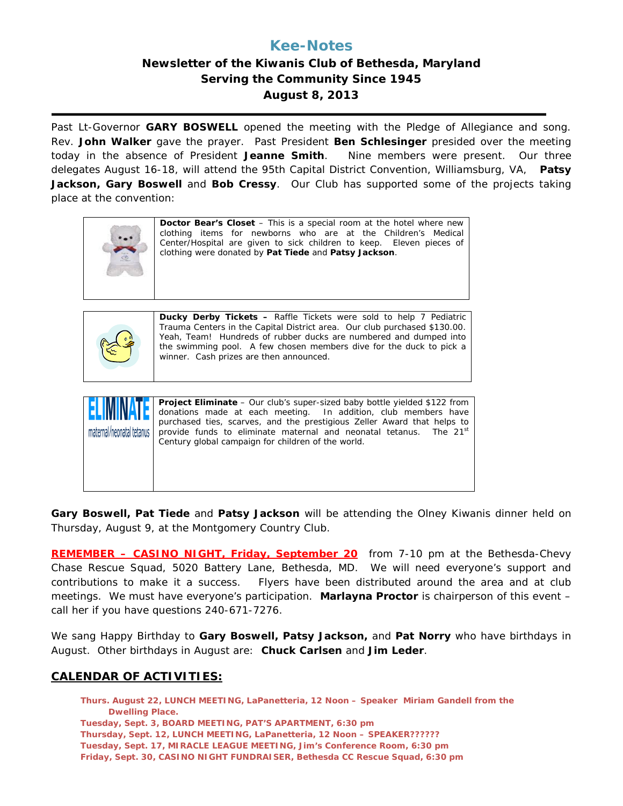# **Kee-Notes**

## **Newsletter of the Kiwanis Club of Bethesda, Maryland Serving the Community Since 1945 August 8, 2013**

 Past Lt-Governor **GARY BOSWELL** opened the meeting with the Pledge of Allegiance and song. Rev. **John Walker** gave the prayer. Past President **Ben Schlesinger** presided over the meeting today in the absence of President **Jeanne Smith**. Nine members were present. Our three delegates August 16-18, will attend the 95th Capital District Convention, Williamsburg, VA, **Patsy Jackson, Gary Boswell** and **Bob Cressy**. Our Club has supported some of the projects taking place at the convention:

|  | <b>Doctor Bear's Closet</b> – This is a special room at the hotel where new<br>clothing items for newborns who are at the Children's Medical<br>Center/Hospital are given to sick children to keep. Eleven pieces of<br>clothing were donated by Pat Tiede and Patsy Jackson. |
|--|-------------------------------------------------------------------------------------------------------------------------------------------------------------------------------------------------------------------------------------------------------------------------------|
|--|-------------------------------------------------------------------------------------------------------------------------------------------------------------------------------------------------------------------------------------------------------------------------------|



**Ducky Derby Tickets –** Raffle Tickets were sold to help 7 Pediatric Trauma Centers in the Capital District area. Our club purchased \$130.00. Yeah, Team! Hundreds of rubber ducks are numbered and dumped into the swimming pool. A few chosen members dive for the duck to pick a winner. Cash prizes are then announced.



**Project Eliminate** – Our club's super-sized baby bottle yielded \$122 from donations made at each meeting. In addition, club members have purchased ties, scarves, and the prestigious Zeller Award that helps to provide funds to eliminate maternal and neonatal tetanus. The 21<sup>st</sup> Century global campaign for children of the world.

**Gary Boswell, Pat Tiede** and **Patsy Jackson** will be attending the Olney Kiwanis dinner held on Thursday, August 9, at the Montgomery Country Club.

**REMEMBER – CASINO NIGHT, Friday, September 20** from 7-10 pm at the Bethesda-Chevy Chase Rescue Squad, 5020 Battery Lane, Bethesda, MD. We will need everyone's support and contributions to make it a success. Flyers have been distributed around the area and at club meetings. We must have everyone's participation. **Marlayna Proctor** is chairperson of this event – call her if you have questions 240-671-7276.

We sang Happy Birthday to **Gary Boswell, Patsy Jackson,** and **Pat Norry** who have birthdays in August. Other birthdays in August are: **Chuck Carlsen** and **Jim Leder**.

## **CALENDAR OF ACTIVITIES:**

**Thurs. August 22, LUNCH MEETING, LaPanetteria, 12 Noon – Speaker Miriam Gandell from the Dwelling Place. Tuesday, Sept. 3, BOARD MEETING, PAT'S APARTMENT, 6:30 pm Thursday, Sept. 12, LUNCH MEETING, LaPanetteria, 12 Noon – SPEAKER?????? Tuesday, Sept. 17, MIRACLE LEAGUE MEETING, Jim's Conference Room, 6:30 pm Friday, Sept. 30, CASINO NIGHT FUNDRAISER, Bethesda CC Rescue Squad, 6:30 pm**